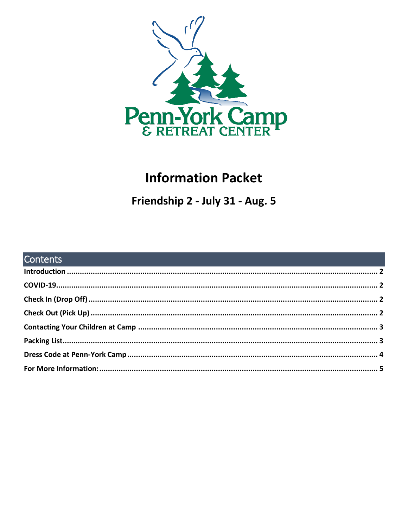

# **Information Packet**

Friendship 2 - July 31 - Aug. 5

| <b>Contents Contents Contents Contents and Contents of Contents and Contents and Contents of Contents and Contents of Contents of Contents of Contents and Contents of Contents of Contents of Contents and Contents of Co</b> |  |
|--------------------------------------------------------------------------------------------------------------------------------------------------------------------------------------------------------------------------------|--|
|                                                                                                                                                                                                                                |  |
|                                                                                                                                                                                                                                |  |
|                                                                                                                                                                                                                                |  |
|                                                                                                                                                                                                                                |  |
|                                                                                                                                                                                                                                |  |
|                                                                                                                                                                                                                                |  |
|                                                                                                                                                                                                                                |  |
|                                                                                                                                                                                                                                |  |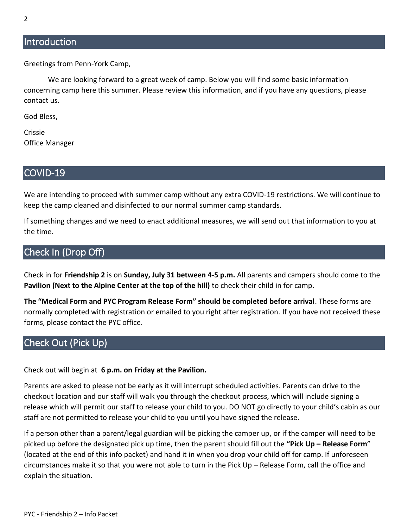### <span id="page-1-0"></span>**Introduction**

Greetings from Penn-York Camp,

We are looking forward to a great week of camp. Below you will find some basic information concerning camp here this summer. Please review this information, and if you have any questions, please contact us.

God Bless,

Crissie Office Manager

### <span id="page-1-1"></span>COVID-19

We are intending to proceed with summer camp without any extra COVID-19 restrictions. We will continue to keep the camp cleaned and disinfected to our normal summer camp standards.

If something changes and we need to enact additional measures, we will send out that information to you at the time.

## <span id="page-1-2"></span>Check In (Drop Off)

Check in for **Friendship 2** is on **Sunday, July 31 between 4-5 p.m.** All parents and campers should come to the **Pavilion (Next to the Alpine Center at the top of the hill)** to check their child in for camp.

**The "Medical Form and PYC Program Release Form" should be completed before arrival**. These forms are normally completed with registration or emailed to you right after registration. If you have not received these forms, please contact the PYC office.

# <span id="page-1-3"></span>Check Out (Pick Up)

Check out will begin at **6 p.m. on Friday at the Pavilion.**

Parents are asked to please not be early as it will interrupt scheduled activities. Parents can drive to the checkout location and our staff will walk you through the checkout process, which will include signing a release which will permit our staff to release your child to you. DO NOT go directly to your child's cabin as our staff are not permitted to release your child to you until you have signed the release.

If a person other than a parent/legal guardian will be picking the camper up, or if the camper will need to be picked up before the designated pick up time, then the parent should fill out the **"Pick Up – Release Form**" (located at the end of this info packet) and hand it in when you drop your child off for camp. If unforeseen circumstances make it so that you were not able to turn in the Pick Up – Release Form, call the office and explain the situation.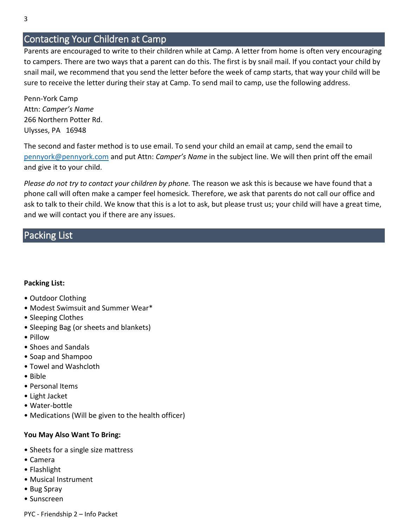### <span id="page-2-0"></span>Contacting Your Children at Camp

Parents are encouraged to write to their children while at Camp. A letter from home is often very encouraging to campers. There are two ways that a parent can do this. The first is by snail mail. If you contact your child by snail mail, we recommend that you send the letter before the week of camp starts, that way your child will be sure to receive the letter during their stay at Camp. To send mail to camp, use the following address.

Penn-York Camp Attn: *Camper's Name* 266 Northern Potter Rd. Ulysses, PA 16948

The second and faster method is to use email. To send your child an email at camp, send the email to [pennyork@pennyork.com](mailto:pennyork@pennyork.com) and put Attn: *Camper's Name* in the subject line. We will then print off the email and give it to your child.

*Please do not try to contact your children by phone.* The reason we ask this is because we have found that a phone call will often make a camper feel homesick. Therefore, we ask that parents do not call our office and ask to talk to their child. We know that this is a lot to ask, but please trust us; your child will have a great time, and we will contact you if there are any issues.

### <span id="page-2-1"></span>Packing List

#### **Packing List:**

- Outdoor Clothing
- Modest Swimsuit and Summer Wear\*
- Sleeping Clothes
- Sleeping Bag (or sheets and blankets)
- Pillow
- Shoes and Sandals
- Soap and Shampoo
- Towel and Washcloth
- Bible
- Personal Items
- Light Jacket
- Water-bottle
- Medications (Will be given to the health officer)

#### **You May Also Want To Bring:**

- Sheets for a single size mattress
- Camera
- Flashlight
- Musical Instrument
- Bug Spray
- Sunscreen

PYC - Friendship 2 – Info Packet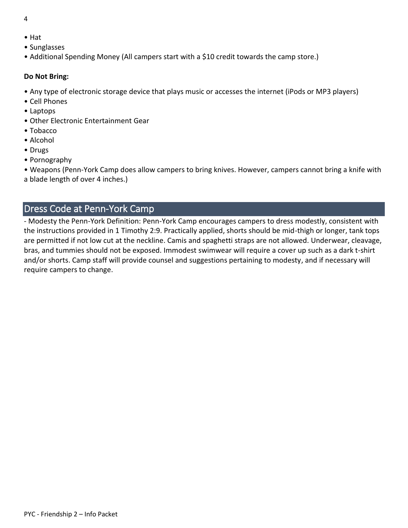- 4
- Hat
- Sunglasses
- Additional Spending Money (All campers start with a \$10 credit towards the camp store.)

#### **Do Not Bring:**

- Any type of electronic storage device that plays music or accesses the internet (iPods or MP3 players)
- Cell Phones
- Laptops
- Other Electronic Entertainment Gear
- Tobacco
- Alcohol
- Drugs
- Pornography

• Weapons (Penn-York Camp does allow campers to bring knives. However, campers cannot bring a knife with a blade length of over 4 inches.)

## <span id="page-3-0"></span>Dress Code at Penn-York Camp

- Modesty the Penn-York Definition: Penn-York Camp encourages campers to dress modestly, consistent with the instructions provided in 1 Timothy 2:9. Practically applied, shorts should be mid-thigh or longer, tank tops are permitted if not low cut at the neckline. Camis and spaghetti straps are not allowed. Underwear, cleavage, bras, and tummies should not be exposed. Immodest swimwear will require a cover up such as a dark t-shirt and/or shorts. Camp staff will provide counsel and suggestions pertaining to modesty, and if necessary will require campers to change.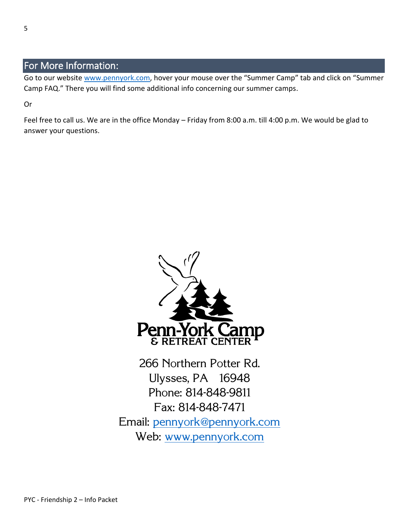# <span id="page-4-0"></span>For More Information:

Go to our website [www.pennyork.com,](http://www.pennyork.com/) hover your mouse over the "Summer Camp" tab and click on "Summer Camp FAQ." There you will find some additional info concerning our summer camps.

Or

Feel free to call us. We are in the office Monday – Friday from 8:00 a.m. till 4:00 p.m. We would be glad to answer your questions.